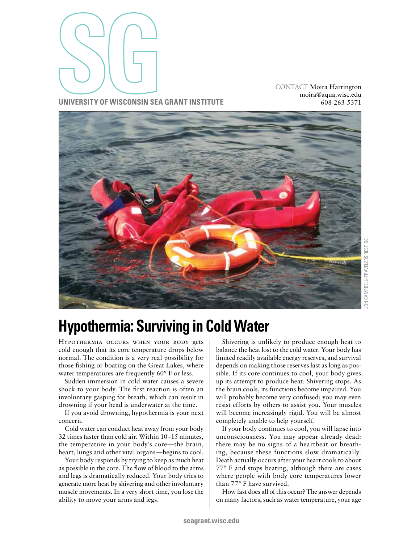

CONTACT Moira Harrington [moira@aqua.wisc.edu](mailto:moira%40aqua.wisc.edu?subject=Hypothermia%3A%20Surviving%20Cold%20Water) 608-263-5371

**University of Wisconsin Sea Grant Institute**



# **Hypothermia: Surviving in Cold Water**

Hypothermia occurs when your body gets cold enough that its core temperature drops below normal. The condition is a very real possibility for those fishing or boating on the Great Lakes, where water temperatures are frequently 60° F or less.

Sudden immersion in cold water causes a severe shock to your body. The first reaction is often an involuntary gasping for breath, which can result in drowning if your head is underwater at the time.

If you avoid drowning, hypothermia is your next concern.

Cold water can conduct heat away from your body 32 times faster than cold air. Within 10–15 minutes, the temperature in your body's core—the brain, heart, lungs and other vital organs—begins to cool.

Your body responds by trying to keep as much heat as possible in the core. The flow of blood to the arms and legs is dramatically reduced. Your body tries to generate more heat by shivering and other involuntary muscle movements. In a very short time, you lose the ability to move your arms and legs.

Shivering is unlikely to produce enough heat to balance the heat lost to the cold water. Your body has limited readily available energy reserves, and survival depends on making those reserves last as long as possible. If its core continues to cool, your body gives up its attempt to produce heat. Shivering stops. As the brain cools, its functions become impaired. You will probably become very confused; you may even resist efforts by others to assist you. Your muscles will become increasingly rigid. You will be almost completely unable to help yourself.

If your body continues to cool, you will lapse into unconsciousness. You may appear already dead: there may be no signs of a heartbeat or breathing, because these functions slow dramatically. Death actually occurs after your heart cools to about 77° F and stops beating, although there are cases where people with body core temperatures lower than 77° F have survived.

How fast does all of this occur? The answer depends on many factors, such as water temperature, your age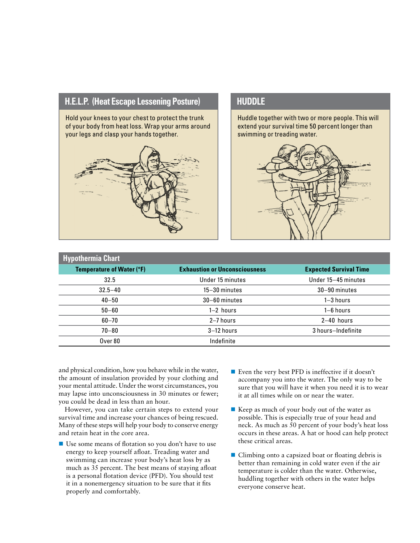## **H.E.L.P.** (Heat Escape Lessening Posture) **https://www.flog.community.org/mega-**

Hold your knees to your chest to protect the trunk of your body from heat loss. Wrap your arms around your legs and clasp your hands together.



Huddle together with two or more people. This will extend your survival time 50 percent longer than swimming or treading water.



| <b>Hypothermia Chart</b>  |                                      |                               |
|---------------------------|--------------------------------------|-------------------------------|
| Temperature of Water (°F) | <b>Exhaustion or Unconsciousness</b> | <b>Expected Survival Time</b> |
| 32.5                      | Under 15 minutes                     | Under 15-45 minutes           |
| $32.5 - 40$               | $15 - 30$ minutes                    | 30-90 minutes                 |
| $40 - 50$                 | $30 - 60$ minutes                    | $1 - 3$ hours                 |
| $50 - 60$                 | $1-2$ hours                          | $1 - 6$ hours                 |
| $60 - 70$                 | 2-7 hours                            | $2-40$ hours                  |
| $70 - 80$                 | $3-12$ hours                         | 3 hours-Indefinite            |
| Over 80                   | Indefinite                           |                               |

and physical condition, how you behave while in the water, the amount of insulation provided by your clothing and your mental attitude. Under the worst circumstances, you may lapse into unconsciousness in 30 minutes or fewer; you could be dead in less than an hour.

However, you can take certain steps to extend your survival time and increase your chances of being rescued. Many of these steps will help your body to conserve energy and retain heat in the core area.

- Use some means of flotation so you don't have to use energy to keep yourself afloat. Treading water and swimming can increase your body's heat loss by as much as 35 percent. The best means of staying afloat is a personal flotation device (PFD). You should test it in a nonemergency situation to be sure that it fits properly and comfortably.
- Even the very best PFD is ineffective if it doesn't accompany you into the water. The only way to be sure that you will have it when you need it is to wear it at all times while on or near the water.
- Keep as much of your body out of the water as possible. This is especially true of your head and neck. As much as 50 percent of your body's heat loss occurs in these areas. A hat or hood can help protect these critical areas.
- Climbing onto a capsized boat or floating debris is better than remaining in cold water even if the air temperature is colder than the water. Otherwise, huddling together with others in the water helps everyone conserve heat.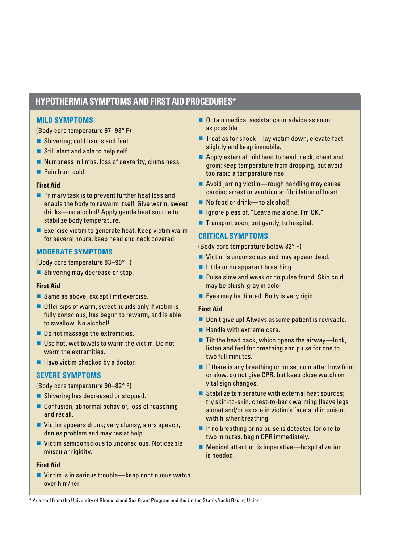# **Hypothermia Symptoms and First Aid Procedures\***

#### **MILD SYMPTOMS**

(Body core temperature 97–93° F)

- $\blacksquare$  Shivering; cold hands and feet.
- $\blacksquare$  Still alert and able to help self.
- $\blacksquare$  Numbness in limbs, loss of dexterity, clumsiness.
- $\blacksquare$  Pain from cold.

#### **First Aid**

- $\blacksquare$  Primary task is to prevent further heat loss and enable the body to rewarm itself. Give warm, sweet drinks—no alcohol! Apply gentle heat source to stabilize body temperature.
- $\blacksquare$  Exercise victim to generate heat. Keep victim warm for several hours, keep head and neck covered.

#### **MODERATE SYMPTOMS**

(Body core temperature 93–90° F)

**n** Shivering may decrease or stop.

#### **First Aid**

- $\blacksquare$  Same as above, except limit exercise.
- $\blacksquare$  Offer sips of warm, sweet liquids only if victim is fully conscious, has begun to rewarm, and is able to swallow. No alcohol!
- $\blacksquare$  Do not massage the extremities.
- $\blacksquare$  Use hot, wet towels to warm the victim. Do not warm the extremities.
- $\blacksquare$  Have victim checked by a doctor.

#### **SEVERE SYMPTOMS**

(Body core temperature 90–82° F)

- Shivering has decreased or stopped.
- $\blacksquare$  Confusion, abnormal behavior, loss of reasoning and recall.
- $\blacksquare$  Victim appears drunk; very clumsy, slurs speech, denies problem and may resist help.
- $\blacksquare$  Victim semiconscious to unconscious. Noticeable muscular rigidity.

#### **First Aid**

■ Victim is in serious trouble—keep continuous watch over him/her.

- $\blacksquare$  Obtain medical assistance or advice as soon as possible.
- $\blacksquare$  Treat as for shock—lay victim down, elevate feet slightly and keep immobile.
- $\blacksquare$  Apply external mild heat to head, neck, chest and groin; keep temperature from dropping, but avoid too rapid a temperature rise.
- $\blacksquare$  Avoid jarring victim—rough handling may cause cardiac arrest or ventricular fibrillation of heart.
- No food or drink—no alcohol!
- Ignore pleas of, "Leave me alone, I'm OK."
- $\blacksquare$  Transport soon, but gently, to hospital.

### **CRITICAL SYMPTOMS**

(Body core temperature below 82° F)

- $\blacksquare$  Victim is unconscious and may appear dead.
- $\blacksquare$  Little or no apparent breathing.
- Pulse slow and weak or no pulse found. Skin cold, may be bluish-gray in color.
- $\blacksquare$  Eyes may be dilated. Body is very rigid.

#### **First Aid**

- **n** Don't give up! Always assume patient is revivable.
- $\blacksquare$  Handle with extreme care.
- $\blacksquare$  Tilt the head back, which opens the airway—look, listen and feel for breathing and pulse for one to two full minutes.
- $\blacksquare$  If there is any breathing or pulse, no matter how faint or slow, do not give CPR, but keep close watch on vital sign changes.
- $\blacksquare$  Stabilize temperature with external heat sources; try skin-to-skin, chest-to-back warming (leave legs alone) and/or exhale in victim's face and in unison with his/her breathing.
- $\blacksquare$  If no breathing or no pulse is detected for one to two minutes, begin CPR immediately.
- $\blacksquare$  Medical attention is imperative—hospitalization is needed.

\* Adapted from the University of Rhode Island Sea Grant Program and the United States Yacht Racing Union.